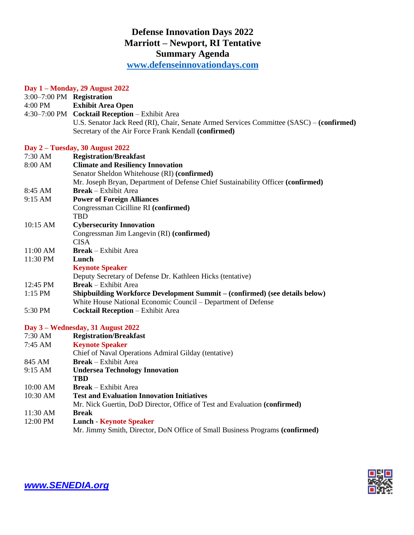## **Defense Innovation Days 2022 Marriott – Newport, RI Tentative Summary Agenda**

**[www.defenseinnovationdays.com](http://www.defenseinnovationdays.com/)**

## **Day 1 – Monday, 29 August 2022**

| 3:00-7:00 PM Registration         |                                                                                          |
|-----------------------------------|------------------------------------------------------------------------------------------|
| 4:00 PM                           | <b>Exhibit Area Open</b>                                                                 |
|                                   | 4:30-7:00 PM Cocktail Reception - Exhibit Area                                           |
|                                   | U.S. Senator Jack Reed (RI), Chair, Senate Armed Services Committee (SASC) – (confirmed) |
|                                   | Secretary of the Air Force Frank Kendall (confirmed)                                     |
|                                   | Day 2 – Tuesday, 30 August 2022                                                          |
| 7:30 AM                           | <b>Registration/Breakfast</b>                                                            |
| 8:00 AM                           | <b>Climate and Resiliency Innovation</b>                                                 |
|                                   | Senator Sheldon Whitehouse (RI) (confirmed)                                              |
|                                   | Mr. Joseph Bryan, Department of Defense Chief Sustainability Officer (confirmed)         |
| 8:45 AM                           | <b>Break</b> – Exhibit Area                                                              |
| 9:15 AM                           | <b>Power of Foreign Alliances</b>                                                        |
|                                   | Congressman Cicilline RI (confirmed)                                                     |
|                                   | <b>TBD</b>                                                                               |
| 10:15 AM                          | <b>Cybersecurity Innovation</b>                                                          |
|                                   | Congressman Jim Langevin (RI) (confirmed)                                                |
|                                   | <b>CISA</b>                                                                              |
| 11:00 AM                          | <b>Break</b> – Exhibit Area                                                              |
| 11:30 PM                          | Lunch                                                                                    |
|                                   | <b>Keynote Speaker</b>                                                                   |
|                                   | Deputy Secretary of Defense Dr. Kathleen Hicks (tentative)                               |
| 12:45 PM                          | <b>Break</b> – Exhibit Area                                                              |
| 1:15 PM                           | Shipbuilding Workforce Development Summit - (confirmed) (see details below)              |
|                                   | White House National Economic Council – Department of Defense                            |
| 5:30 PM                           | <b>Cocktail Reception</b> - Exhibit Area                                                 |
| Day 3 – Wednesday, 31 August 2022 |                                                                                          |
| 7:30 AM                           | <b>Registration/Breakfast</b>                                                            |
| 7:45 AM                           | <b>Keynote Speaker</b>                                                                   |
|                                   | Chief of Naval Operations Admiral Gilday (tentative)                                     |
| 845 AM                            | <b>Break</b> – Exhibit Area                                                              |
| 9:15 AM                           | <b>Undersea Technology Innovation</b>                                                    |
|                                   | TBD                                                                                      |
| 10:00 AM                          | <b>Break</b> – Exhibit Area                                                              |
| 10:30 AM                          | <b>Test and Evaluation Innovation Initiatives</b>                                        |
|                                   | Mr. Nick Guertin, DoD Director, Office of Test and Evaluation (confirmed)                |
| 11:30 AM                          | <b>Break</b>                                                                             |
| 12:00 PM                          | <b>Lunch - Keynote Speaker</b>                                                           |
|                                   | Mr. Jimmy Smith, Director, DoN Office of Small Business Programs (confirmed)             |